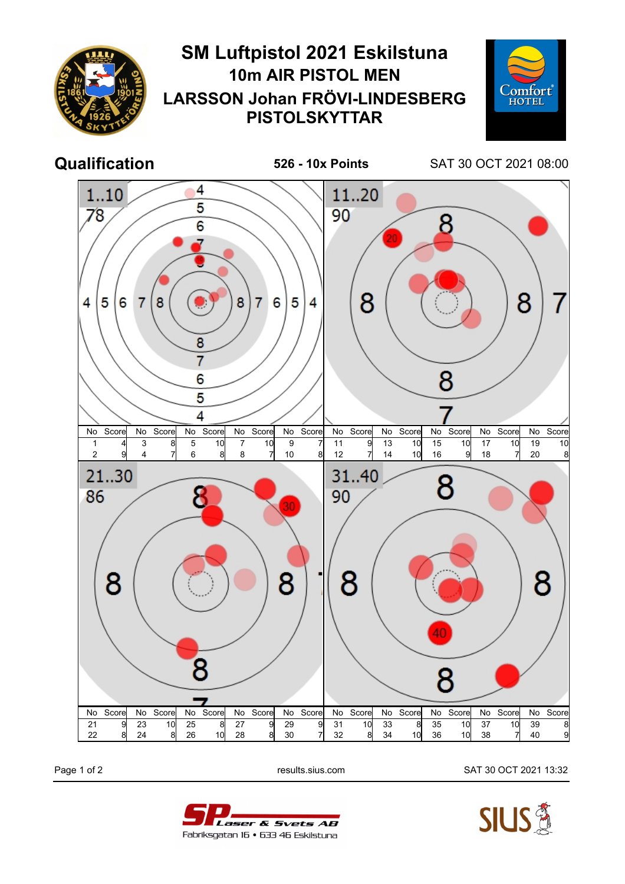

Page 1 of 2 results.sius.com SAT 30 OCT 2021 13:32